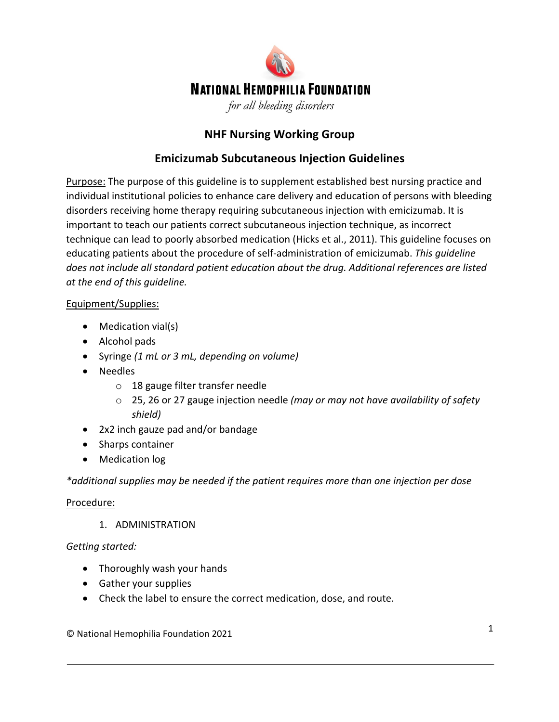

# **NHF Nursing Working Group**

## **Emicizumab Subcutaneous Injection Guidelines**

Purpose: The purpose of this guideline is to supplement established best nursing practice and individual institutional policies to enhance care delivery and education of persons with bleeding disorders receiving home therapy requiring subcutaneous injection with emicizumab. It is important to teach our patients correct subcutaneous injection technique, as incorrect technique can lead to poorly absorbed medication (Hicks et al., 2011). This guideline focuses on educating patients about the procedure of self-administration of emicizumab. *This guideline does not include all standard patient education about the drug. Additional references are listed at the end of this guideline.* 

#### Equipment/Supplies:

- Medication vial(s)
- Alcohol pads
- Syringe *(1 mL or 3 mL, depending on volume)*
- Needles
	- o 18 gauge filter transfer needle
	- o 25, 26 or 27 gauge injection needle *(may or may not have availability of safety shield)*
- 2x2 inch gauze pad and/or bandage
- Sharps container
- Medication log

*\*additional supplies may be needed if the patient requires more than one injection per dose*

#### Procedure:

1. ADMINISTRATION

#### *Getting started:*

- Thoroughly wash your hands
- Gather your supplies
- Check the label to ensure the correct medication, dose, and route.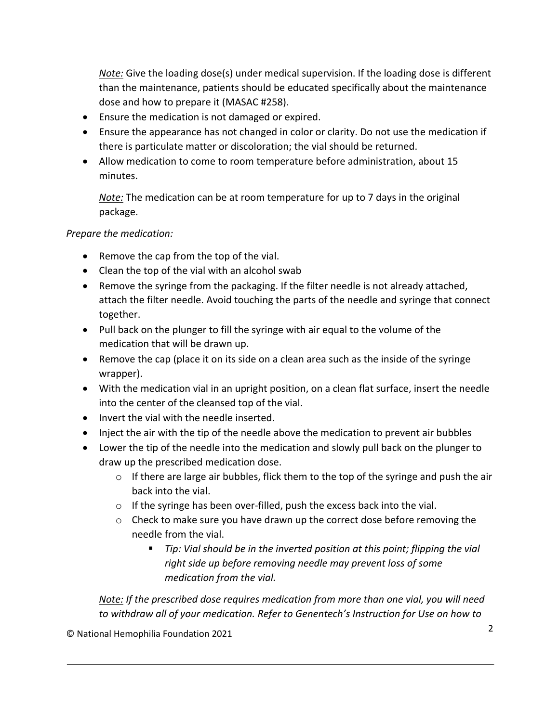*Note:* Give the loading dose(s) under medical supervision. If the loading dose is different than the maintenance, patients should be educated specifically about the maintenance dose and how to prepare it (MASAC #258).

- Ensure the medication is not damaged or expired.
- Ensure the appearance has not changed in color or clarity. Do not use the medication if there is particulate matter or discoloration; the vial should be returned.
- Allow medication to come to room temperature before administration, about 15 minutes.

*Note:* The medication can be at room temperature for up to 7 days in the original package.

#### *Prepare the medication:*

- Remove the cap from the top of the vial.
- Clean the top of the vial with an alcohol swab
- Remove the syringe from the packaging. If the filter needle is not already attached, attach the filter needle. Avoid touching the parts of the needle and syringe that connect together.
- Pull back on the plunger to fill the syringe with air equal to the volume of the medication that will be drawn up.
- Remove the cap (place it on its side on a clean area such as the inside of the syringe wrapper).
- With the medication vial in an upright position, on a clean flat surface, insert the needle into the center of the cleansed top of the vial.
- Invert the vial with the needle inserted.
- Inject the air with the tip of the needle above the medication to prevent air bubbles
- Lower the tip of the needle into the medication and slowly pull back on the plunger to draw up the prescribed medication dose.
	- o If there are large air bubbles, flick them to the top of the syringe and push the air back into the vial.
	- o If the syringe has been over-filled, push the excess back into the vial.
	- $\circ$  Check to make sure you have drawn up the correct dose before removing the needle from the vial.
		- *Tip: Vial should be in the inverted position at this point; flipping the vial right side up before removing needle may prevent loss of some medication from the vial.*

*Note: If the prescribed dose requires medication from more than one vial, you will need to withdraw all of your medication. Refer to Genentech's Instruction for Use on how to*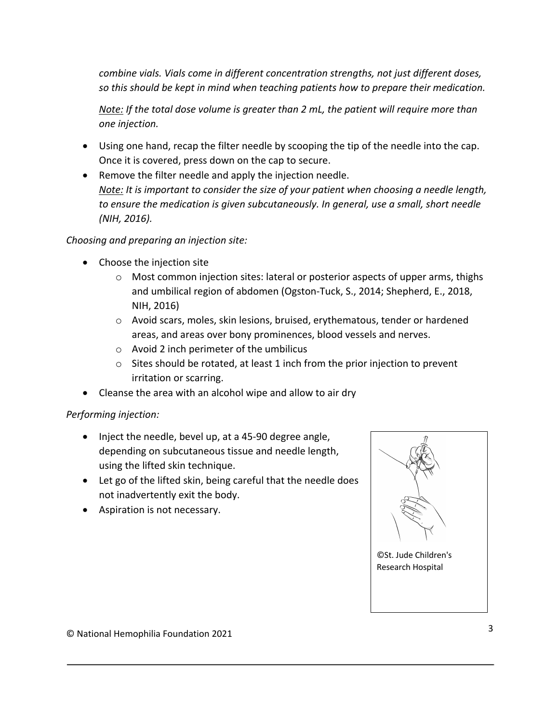*combine vials. Vials come in different concentration strengths, not just different doses, so this should be kept in mind when teaching patients how to prepare their medication.*

*Note: If the total dose volume is greater than 2 mL, the patient will require more than one injection.* 

- Using one hand, recap the filter needle by scooping the tip of the needle into the cap. Once it is covered, press down on the cap to secure.
- Remove the filter needle and apply the injection needle. *Note: It is important to consider the size of your patient when choosing a needle length, to ensure the medication is given subcutaneously. In general, use a small, short needle (NIH, 2016).*

*Choosing and preparing an injection site:*

- Choose the injection site
	- $\circ$  Most common injection sites: lateral or posterior aspects of upper arms, thighs and umbilical region of abdomen (Ogston-Tuck, S., 2014; Shepherd, E., 2018, NIH, 2016)
	- o Avoid scars, moles, skin lesions, bruised, erythematous, tender or hardened areas, and areas over bony prominences, blood vessels and nerves.
	- o Avoid 2 inch perimeter of the umbilicus
	- $\circ$  Sites should be rotated, at least 1 inch from the prior injection to prevent irritation or scarring.
- Cleanse the area with an alcohol wipe and allow to air dry

#### *Performing injection:*

- Inject the needle, bevel up, at a 45-90 degree angle, depending on subcutaneous tissue and needle length, using the lifted skin technique.
- Let go of the lifted skin, being careful that the needle does not inadvertently exit the body.
- Aspiration is not necessary.

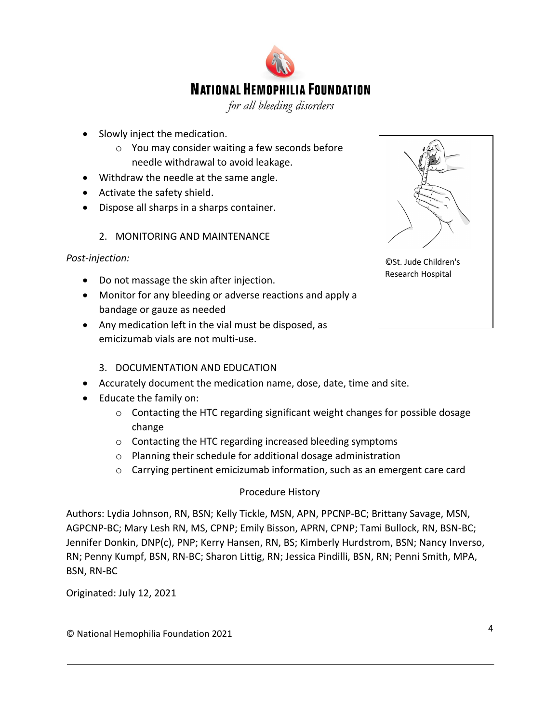

for all bleeding disorders

- Slowly inject the medication.
	- o You may consider waiting a few seconds before needle withdrawal to avoid leakage.
- Withdraw the needle at the same angle.
- Activate the safety shield.
- Dispose all sharps in a sharps container.
	- 2. MONITORING AND MAINTENANCE

#### *Post-injection:*

- Do not massage the skin after injection.
- Monitor for any bleeding or adverse reactions and apply a bandage or gauze as needed
- Any medication left in the vial must be disposed, as emicizumab vials are not multi-use.

#### 3. DOCUMENTATION AND EDUCATION

- Accurately document the medication name, dose, date, time and site.
- Educate the family on:
	- $\circ$  Contacting the HTC regarding significant weight changes for possible dosage change
	- o Contacting the HTC regarding increased bleeding symptoms
	- o Planning their schedule for additional dosage administration
	- $\circ$  Carrying pertinent emicizumab information, such as an emergent care card

#### Procedure History

Authors: Lydia Johnson, RN, BSN; Kelly Tickle, MSN, APN, PPCNP-BC; Brittany Savage, MSN, AGPCNP-BC; Mary Lesh RN, MS, CPNP; Emily Bisson, APRN, CPNP; Tami Bullock, RN, BSN-BC; Jennifer Donkin, DNP(c), PNP; Kerry Hansen, RN, BS; Kimberly Hurdstrom, BSN; Nancy Inverso, RN; Penny Kumpf, BSN, RN-BC; Sharon Littig, RN; Jessica Pindilli, BSN, RN; Penni Smith, MPA, BSN, RN-BC

Originated: July 12, 2021